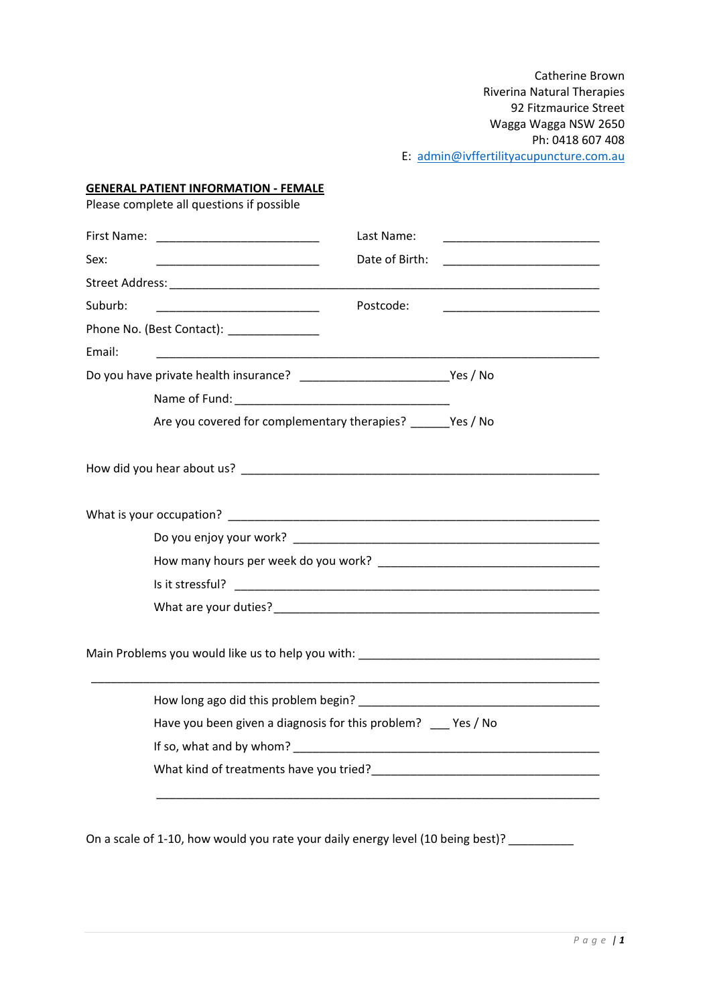Catherine Brown Riverina Natural Therapies 92 Fitzmaurice Street Wagga Wagga NSW 2650 Ph: 0418 607 408 E: [admin@ivffertilityacupuncture.com.au](mailto:admin@ivffertilityacupuncture.com.au)

#### **GENERAL PATIENT INFORMATION - FEMALE**

Please complete all questions if possible

|                                                                                                                                   | Last Name:<br><u> 1989 - Johann Barbara, martxa al III-lea (h. 1974).</u>                                                                |  |
|-----------------------------------------------------------------------------------------------------------------------------------|------------------------------------------------------------------------------------------------------------------------------------------|--|
| Sex:<br><u> 1990 - Johann John Stone, mars eta biztanleria (</u>                                                                  | Date of Birth:<br><u> 1990 - Johann John Stone, markin film yn y brening yn y brening yn y brening yn y brening yn y brening yn y br</u> |  |
|                                                                                                                                   |                                                                                                                                          |  |
| Suburb:<br><u> 1990 - Johann John Harry Harry Harry Harry Harry Harry Harry Harry Harry Harry Harry Harry Harry Harry Harry H</u> | Postcode:<br><u> 1990 - Johann John Stone, mars et al. (</u>                                                                             |  |
| Phone No. (Best Contact): ______________                                                                                          |                                                                                                                                          |  |
| Email:                                                                                                                            |                                                                                                                                          |  |
|                                                                                                                                   |                                                                                                                                          |  |
|                                                                                                                                   |                                                                                                                                          |  |
|                                                                                                                                   | Are you covered for complementary therapies? ______Yes / No                                                                              |  |
|                                                                                                                                   |                                                                                                                                          |  |
|                                                                                                                                   |                                                                                                                                          |  |
|                                                                                                                                   |                                                                                                                                          |  |
|                                                                                                                                   |                                                                                                                                          |  |
|                                                                                                                                   |                                                                                                                                          |  |
|                                                                                                                                   |                                                                                                                                          |  |
|                                                                                                                                   |                                                                                                                                          |  |
|                                                                                                                                   |                                                                                                                                          |  |
|                                                                                                                                   | Have you been given a diagnosis for this problem? __ Yes / No                                                                            |  |
|                                                                                                                                   |                                                                                                                                          |  |
|                                                                                                                                   |                                                                                                                                          |  |
| On a scale of 1-10, how would you rate your daily energy level (10 being best)?                                                   |                                                                                                                                          |  |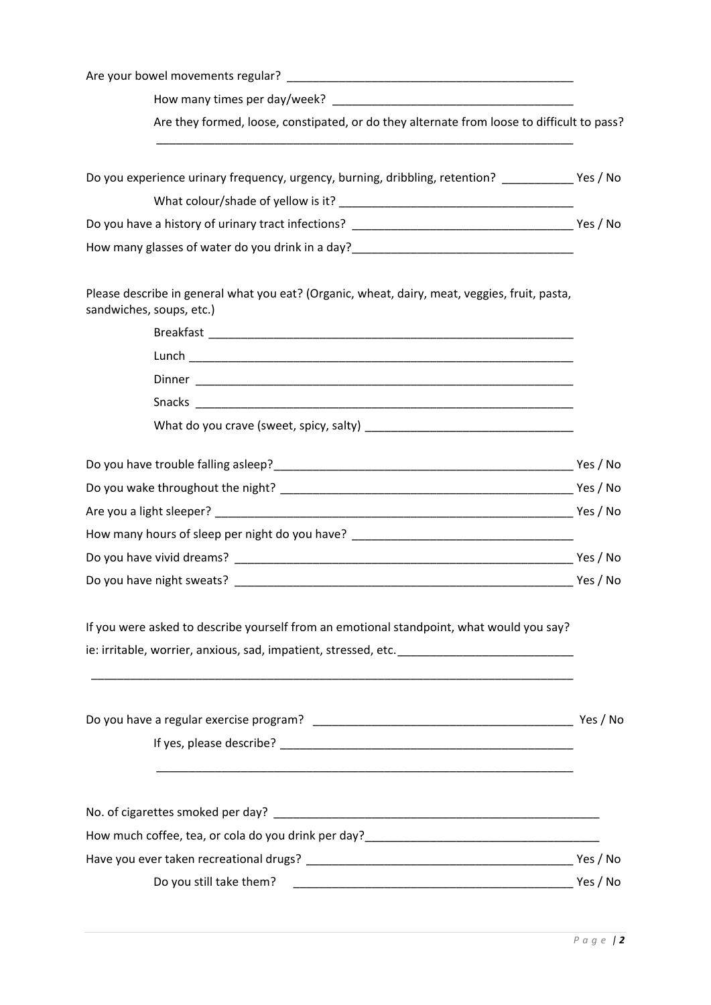| Are they formed, loose, constipated, or do they alternate from loose to difficult to pass?<br>Do you experience urinary frequency, urgency, burning, dribbling, retention? ______________Yes / No<br>How many glasses of water do you drink in a day?_________________________________<br>Please describe in general what you eat? (Organic, wheat, dairy, meat, veggies, fruit, pasta,<br>sandwiches, soups, etc.)<br>How many hours of sleep per night do you have? __________________________________<br>If you were asked to describe yourself from an emotional standpoint, what would you say?<br>ie: irritable, worrier, anxious, sad, impatient, stressed, etc. ___________________________________<br>Yes / No<br>Do you still take them? |          |
|----------------------------------------------------------------------------------------------------------------------------------------------------------------------------------------------------------------------------------------------------------------------------------------------------------------------------------------------------------------------------------------------------------------------------------------------------------------------------------------------------------------------------------------------------------------------------------------------------------------------------------------------------------------------------------------------------------------------------------------------------|----------|
|                                                                                                                                                                                                                                                                                                                                                                                                                                                                                                                                                                                                                                                                                                                                                    |          |
|                                                                                                                                                                                                                                                                                                                                                                                                                                                                                                                                                                                                                                                                                                                                                    |          |
|                                                                                                                                                                                                                                                                                                                                                                                                                                                                                                                                                                                                                                                                                                                                                    |          |
|                                                                                                                                                                                                                                                                                                                                                                                                                                                                                                                                                                                                                                                                                                                                                    |          |
|                                                                                                                                                                                                                                                                                                                                                                                                                                                                                                                                                                                                                                                                                                                                                    |          |
|                                                                                                                                                                                                                                                                                                                                                                                                                                                                                                                                                                                                                                                                                                                                                    |          |
|                                                                                                                                                                                                                                                                                                                                                                                                                                                                                                                                                                                                                                                                                                                                                    |          |
|                                                                                                                                                                                                                                                                                                                                                                                                                                                                                                                                                                                                                                                                                                                                                    |          |
|                                                                                                                                                                                                                                                                                                                                                                                                                                                                                                                                                                                                                                                                                                                                                    |          |
|                                                                                                                                                                                                                                                                                                                                                                                                                                                                                                                                                                                                                                                                                                                                                    |          |
|                                                                                                                                                                                                                                                                                                                                                                                                                                                                                                                                                                                                                                                                                                                                                    |          |
|                                                                                                                                                                                                                                                                                                                                                                                                                                                                                                                                                                                                                                                                                                                                                    |          |
|                                                                                                                                                                                                                                                                                                                                                                                                                                                                                                                                                                                                                                                                                                                                                    |          |
|                                                                                                                                                                                                                                                                                                                                                                                                                                                                                                                                                                                                                                                                                                                                                    |          |
|                                                                                                                                                                                                                                                                                                                                                                                                                                                                                                                                                                                                                                                                                                                                                    |          |
|                                                                                                                                                                                                                                                                                                                                                                                                                                                                                                                                                                                                                                                                                                                                                    |          |
|                                                                                                                                                                                                                                                                                                                                                                                                                                                                                                                                                                                                                                                                                                                                                    |          |
|                                                                                                                                                                                                                                                                                                                                                                                                                                                                                                                                                                                                                                                                                                                                                    |          |
|                                                                                                                                                                                                                                                                                                                                                                                                                                                                                                                                                                                                                                                                                                                                                    |          |
|                                                                                                                                                                                                                                                                                                                                                                                                                                                                                                                                                                                                                                                                                                                                                    |          |
|                                                                                                                                                                                                                                                                                                                                                                                                                                                                                                                                                                                                                                                                                                                                                    |          |
|                                                                                                                                                                                                                                                                                                                                                                                                                                                                                                                                                                                                                                                                                                                                                    |          |
|                                                                                                                                                                                                                                                                                                                                                                                                                                                                                                                                                                                                                                                                                                                                                    |          |
|                                                                                                                                                                                                                                                                                                                                                                                                                                                                                                                                                                                                                                                                                                                                                    |          |
|                                                                                                                                                                                                                                                                                                                                                                                                                                                                                                                                                                                                                                                                                                                                                    |          |
|                                                                                                                                                                                                                                                                                                                                                                                                                                                                                                                                                                                                                                                                                                                                                    |          |
|                                                                                                                                                                                                                                                                                                                                                                                                                                                                                                                                                                                                                                                                                                                                                    | Yes / No |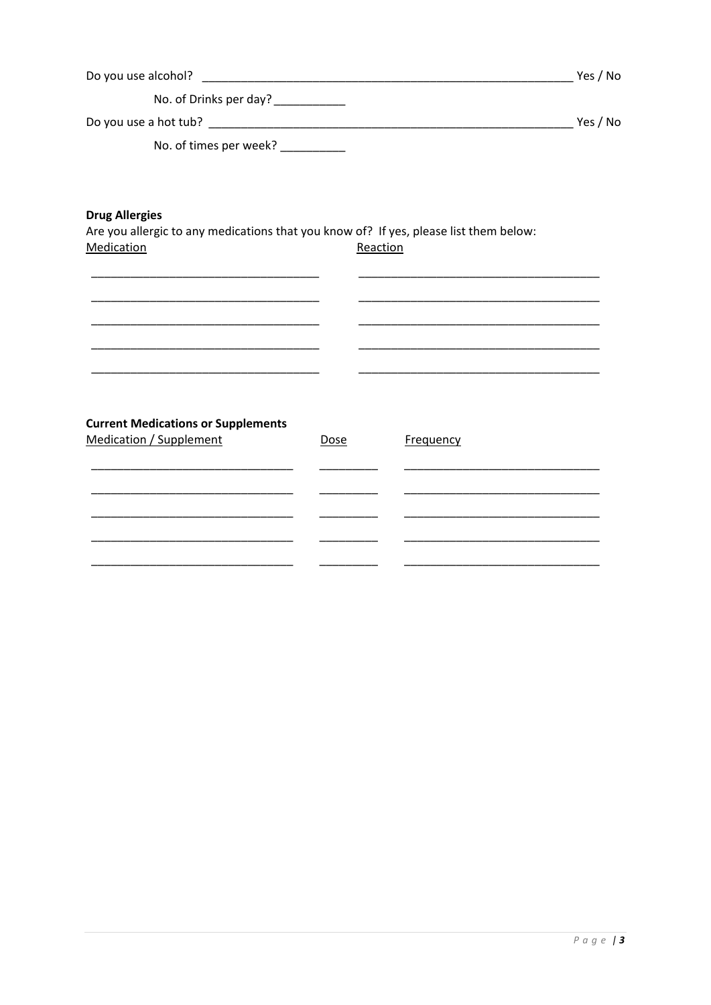|                                                                                                                              |      |           | Yes / No |
|------------------------------------------------------------------------------------------------------------------------------|------|-----------|----------|
| No. of Drinks per day? ___________                                                                                           |      |           |          |
|                                                                                                                              |      |           | Yes / No |
| No. of times per week? __________                                                                                            |      |           |          |
| <b>Drug Allergies</b><br>Are you allergic to any medications that you know of? If yes, please list them below:<br>Medication |      | Reaction  |          |
| <b>Current Medications or Supplements</b><br><b>Medication / Supplement</b>                                                  | Dose | Frequency |          |

 $\overline{\phantom{0}}$  $\overline{\phantom{0}}$ 

 $\overline{\phantom{a}}$  $\overline{\phantom{a}}$ 

 $\overline{\phantom{0}}$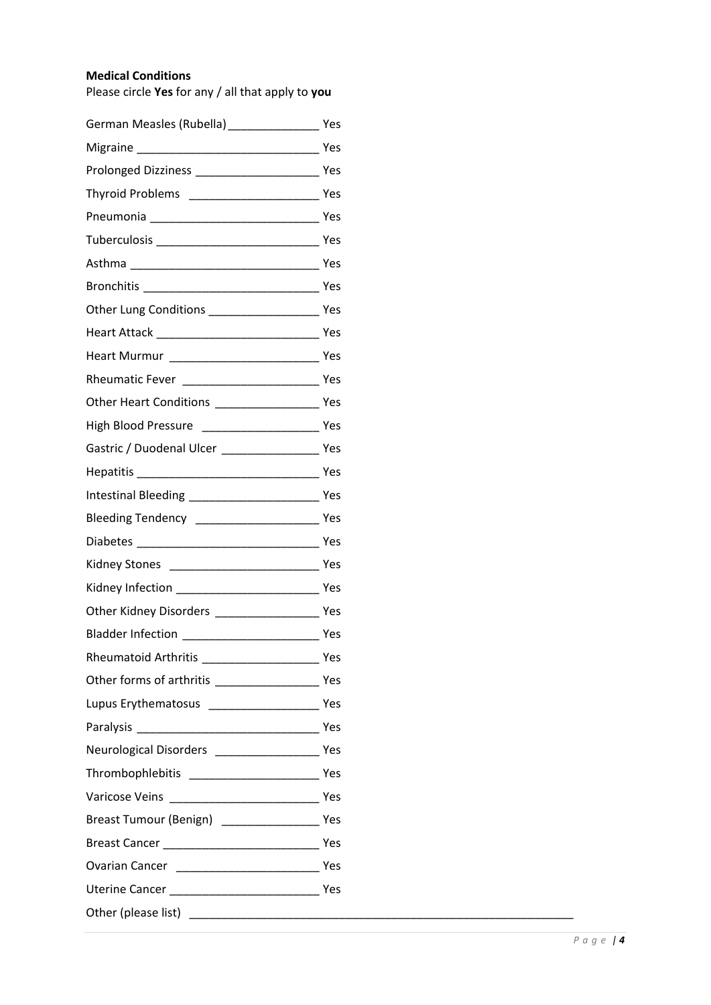# **Medical Conditions**

Please circle **Yes** for any / all that apply to **you**

| German Measles (Rubella) ________________________ Yes      |  |
|------------------------------------------------------------|--|
|                                                            |  |
|                                                            |  |
|                                                            |  |
|                                                            |  |
|                                                            |  |
|                                                            |  |
|                                                            |  |
| Other Lung Conditions __________________________ Yes       |  |
|                                                            |  |
| Heart Murmur<br>Yes                                        |  |
|                                                            |  |
|                                                            |  |
| High Blood Pressure __________________________________ Yes |  |
| Gastric / Duodenal Ulcer ________________________ Yes      |  |
|                                                            |  |
|                                                            |  |
| Bleeding Tendency _________________________________ Yes    |  |
|                                                            |  |
|                                                            |  |
|                                                            |  |
|                                                            |  |
|                                                            |  |
| Rheumatoid Arthritis Manuel Alexander Manuel Mes           |  |
|                                                            |  |
|                                                            |  |
|                                                            |  |
| Neurological Disorders ___________________________ Yes     |  |
|                                                            |  |
|                                                            |  |
|                                                            |  |
|                                                            |  |
|                                                            |  |
|                                                            |  |
|                                                            |  |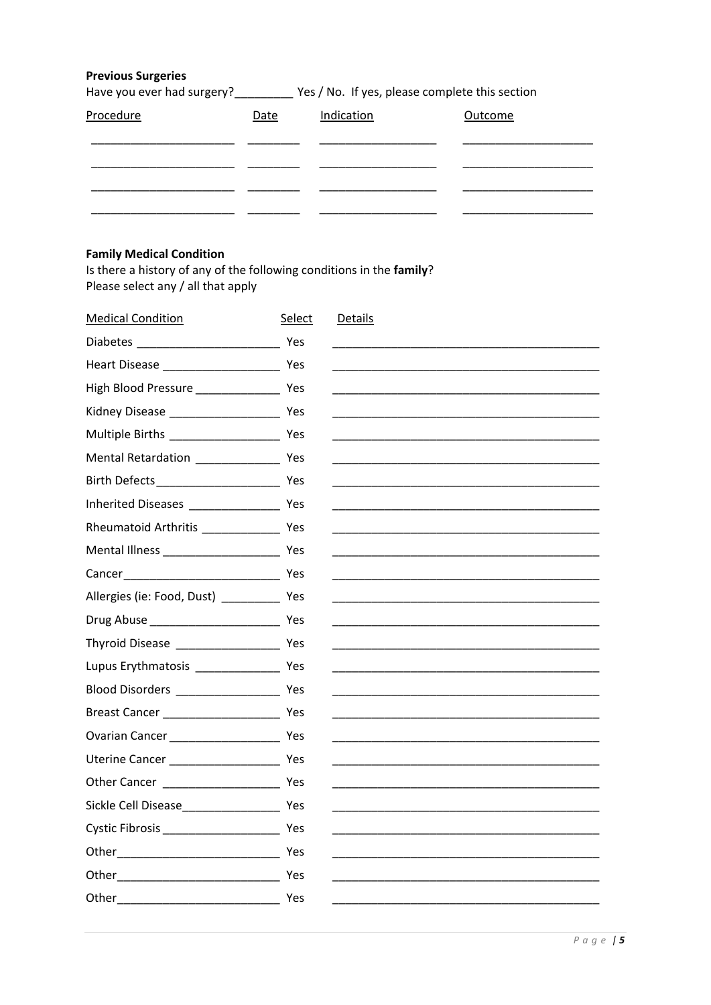## **Previous Surgeries**

Have you ever had surgery?\_\_\_\_\_\_\_\_\_\_\_ Yes / No. If yes, please complete this section

| Procedure | <b>Date</b> | Indication | Outcome |
|-----------|-------------|------------|---------|
|           |             |            |         |
|           |             |            |         |
|           |             |            |         |

# **Family Medical Condition**

Is there a history of any of the following conditions in the family? Please select any / all that apply

| <b>Medical Condition</b>                                                                                                                                                                                                            | Select | <b>Details</b>                                                                                                        |
|-------------------------------------------------------------------------------------------------------------------------------------------------------------------------------------------------------------------------------------|--------|-----------------------------------------------------------------------------------------------------------------------|
| Diabetes <b>Security</b> Present and Present and Present and Present and Present and Present and Present and Present and Present and Present and Present and Present and Present and Present and Present and Present and Present an |        |                                                                                                                       |
|                                                                                                                                                                                                                                     |        |                                                                                                                       |
|                                                                                                                                                                                                                                     |        |                                                                                                                       |
|                                                                                                                                                                                                                                     |        |                                                                                                                       |
|                                                                                                                                                                                                                                     |        |                                                                                                                       |
|                                                                                                                                                                                                                                     |        |                                                                                                                       |
|                                                                                                                                                                                                                                     |        |                                                                                                                       |
|                                                                                                                                                                                                                                     |        |                                                                                                                       |
|                                                                                                                                                                                                                                     |        |                                                                                                                       |
|                                                                                                                                                                                                                                     |        |                                                                                                                       |
|                                                                                                                                                                                                                                     |        |                                                                                                                       |
| Allergies (ie: Food, Dust) ______________ Yes                                                                                                                                                                                       |        |                                                                                                                       |
|                                                                                                                                                                                                                                     |        |                                                                                                                       |
|                                                                                                                                                                                                                                     |        |                                                                                                                       |
|                                                                                                                                                                                                                                     |        | <u> 1989 - Johann Stoff, deutscher Stoff, der Stoff, der Stoff, der Stoff, der Stoff, der Stoff, der Stoff, der S</u> |
|                                                                                                                                                                                                                                     |        |                                                                                                                       |
|                                                                                                                                                                                                                                     |        |                                                                                                                       |
|                                                                                                                                                                                                                                     |        |                                                                                                                       |
|                                                                                                                                                                                                                                     |        |                                                                                                                       |
|                                                                                                                                                                                                                                     |        |                                                                                                                       |
|                                                                                                                                                                                                                                     |        |                                                                                                                       |
|                                                                                                                                                                                                                                     |        |                                                                                                                       |
|                                                                                                                                                                                                                                     |        |                                                                                                                       |
| Other Yes                                                                                                                                                                                                                           |        |                                                                                                                       |
| Other Yes                                                                                                                                                                                                                           |        |                                                                                                                       |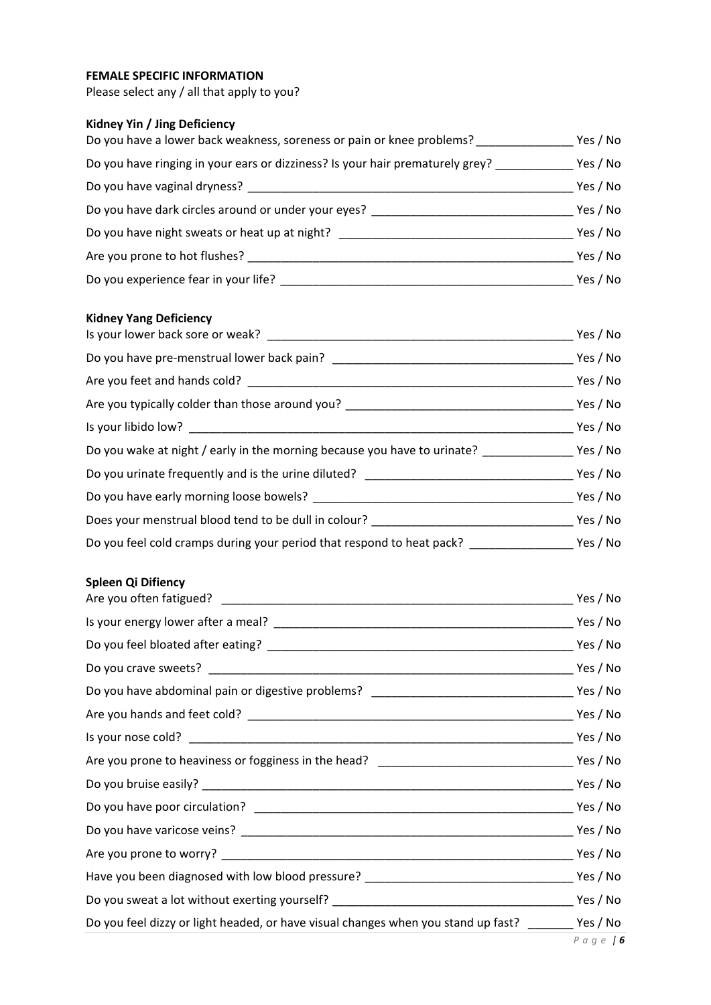# **FEMALE SPECIFIC INFORMATION**

Please select any / all that apply to you?

# **Kidney Yin / Jing Deficiency**

| Do you have a lower back weakness, soreness or pain or knee problems?         | Yes / No |
|-------------------------------------------------------------------------------|----------|
| Do you have ringing in your ears or dizziness? Is your hair prematurely grey? | Yes / No |
| Do you have vaginal dryness?                                                  | Yes / No |
| Do you have dark circles around or under your eyes?                           | Yes / No |
| Do you have night sweats or heat up at night?                                 | Yes / No |
| Are you prone to hot flushes?                                                 | Yes / No |
| Do you experience fear in your life?                                          | Yes / No |

#### **Kidney Yang Deficiency**

|                                                                                                        | Yes / No |
|--------------------------------------------------------------------------------------------------------|----------|
| Do you have pre-menstrual lower back pain?                                                             | Yes / No |
|                                                                                                        | Yes / No |
| Are you typically colder than those around you? ________________________________                       | Yes / No |
|                                                                                                        | Yes / No |
|                                                                                                        |          |
| Do you urinate frequently and is the urine diluted? ____________________________                       | Yes / No |
|                                                                                                        | Yes / No |
| Does your menstrual blood tend to be dull in colour? ___________________________                       | Yes / No |
| Do you feel cold cramps during your period that respond to heat pack? ________________________Yes / No |          |

## **Spleen Qi Difiency**

|                                                                                                   | Yes / No |
|---------------------------------------------------------------------------------------------------|----------|
|                                                                                                   |          |
|                                                                                                   |          |
|                                                                                                   |          |
|                                                                                                   |          |
|                                                                                                   |          |
|                                                                                                   |          |
|                                                                                                   |          |
|                                                                                                   |          |
|                                                                                                   |          |
|                                                                                                   |          |
|                                                                                                   |          |
|                                                                                                   |          |
|                                                                                                   |          |
| Do you feel dizzy or light headed, or have visual changes when you stand up fast? ______ Yes / No |          |
|                                                                                                   |          |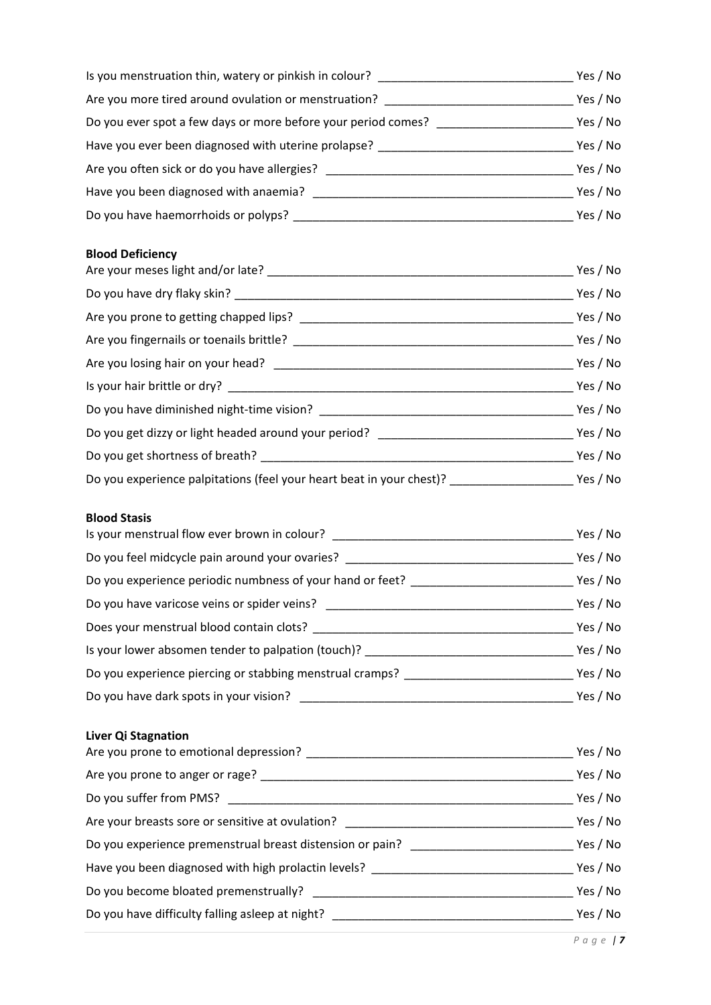| Is you menstruation thin, watery or pinkish in colour?        | Yes / No |
|---------------------------------------------------------------|----------|
| Are you more tired around ovulation or menstruation?          | Yes / No |
| Do you ever spot a few days or more before your period comes? | Yes / No |
| Have you ever been diagnosed with uterine prolapse?           | Yes / No |
| Are you often sick or do you have allergies?                  | Yes / No |
| Have you been diagnosed with anaemia?                         | Yes / No |
| Do you have haemorrhoids or polyps?                           | Yes / No |

# **Blood Deficiency**

| Yes / No |
|----------|
| Yes / No |
| Yes / No |
| Yes / No |
| Yes / No |
| Yes / No |
| Yes / No |
|          |
| Yes / No |
|          |

# **Blood Stasis**

| Is your menstrual flow ever brown in colour? _____        | Yes / No |
|-----------------------------------------------------------|----------|
| Do you feel midcycle pain around your ovaries?            | Yes / No |
| Do you experience periodic numbness of your hand or feet? | Yes / No |
| Do you have varicose veins or spider veins?               | Yes / No |
| Does your menstrual blood contain clots?                  | Yes / No |
| Is your lower absomen tender to palpation (touch)?        | Yes / No |
| Do you experience piercing or stabbing menstrual cramps?  | Yes / No |
| Do you have dark spots in your vision?                    | Yes / No |

# **Liver Qi Stagnation**

| Are you prone to emotional depression?                                           |          |  |
|----------------------------------------------------------------------------------|----------|--|
| Are you prone to anger or rage?                                                  | Yes / No |  |
| Do you suffer from PMS? ___________                                              | Yes / No |  |
| Are your breasts sore or sensitive at ovulation? _______________________________ | Yes / No |  |
| Do you experience premenstrual breast distension or pain?                        |          |  |
| Have you been diagnosed with high prolactin levels? _______                      | Yes / No |  |
| Do you become bloated premenstrually?                                            | Yes / No |  |
| Do you have difficulty falling asleep at night? _________                        | Yes / No |  |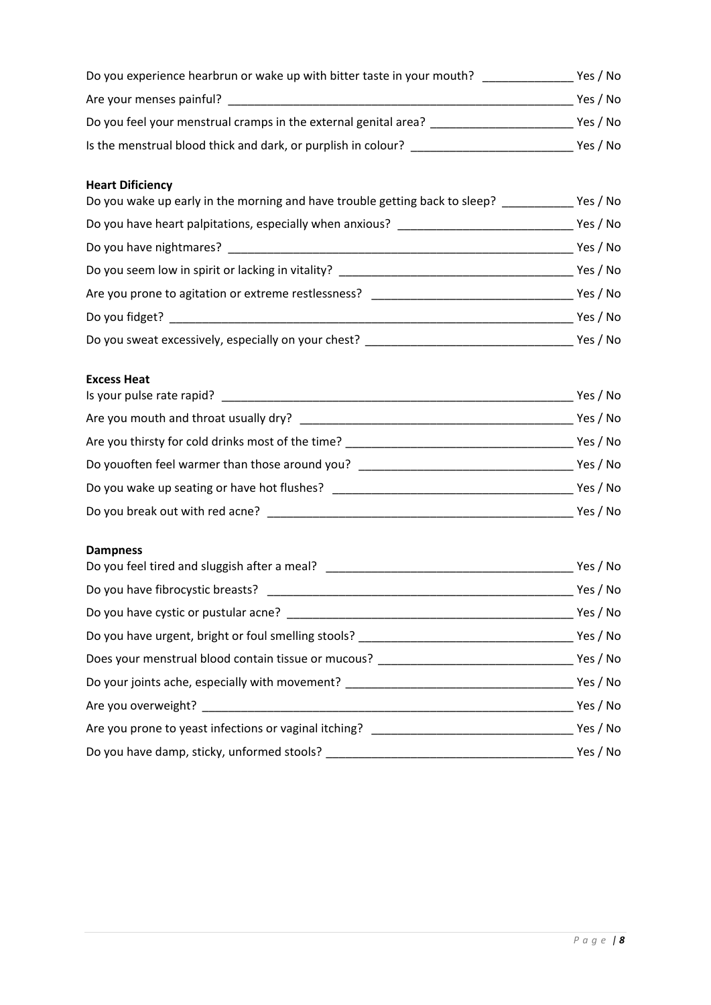| <b>Heart Dificiency</b><br>Do you wake up early in the morning and have trouble getting back to sleep? ___________ Yes / No |  |
|-----------------------------------------------------------------------------------------------------------------------------|--|
|                                                                                                                             |  |
|                                                                                                                             |  |
|                                                                                                                             |  |
|                                                                                                                             |  |
|                                                                                                                             |  |
|                                                                                                                             |  |
| <b>Excess Heat</b>                                                                                                          |  |
|                                                                                                                             |  |
|                                                                                                                             |  |
|                                                                                                                             |  |
|                                                                                                                             |  |
|                                                                                                                             |  |
| <b>Dampness</b>                                                                                                             |  |
|                                                                                                                             |  |
|                                                                                                                             |  |
|                                                                                                                             |  |
|                                                                                                                             |  |
|                                                                                                                             |  |
|                                                                                                                             |  |
|                                                                                                                             |  |
|                                                                                                                             |  |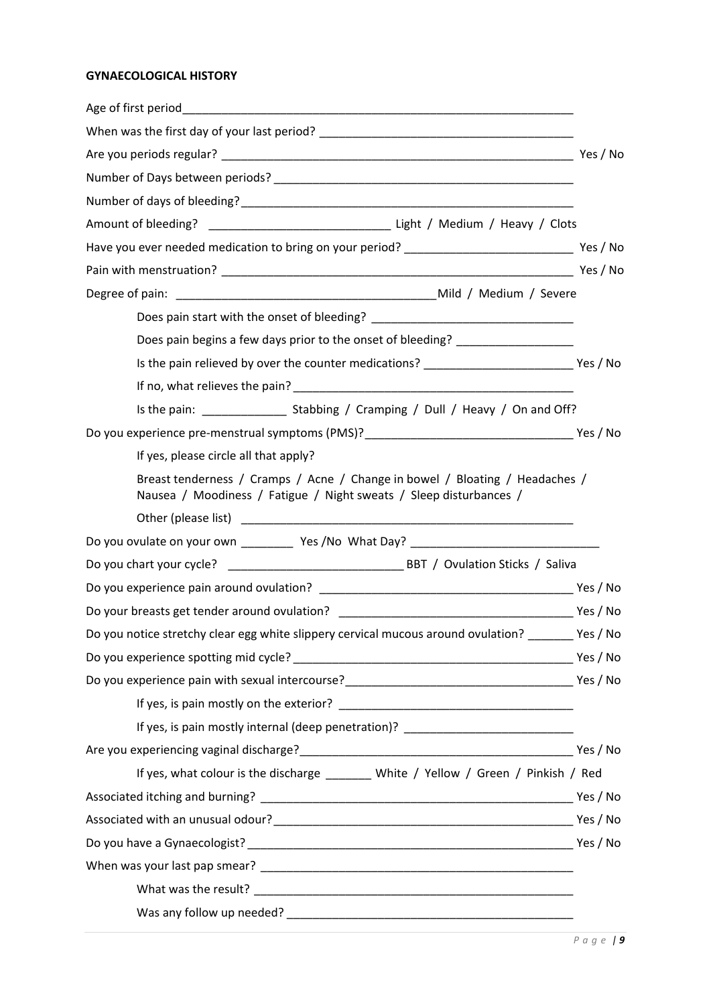# **GYNAECOLOGICAL HISTORY**

| Age of first period and the state of the state of the state of the state of the state of the state of the state of the state of the state of the state of the state of the state of the state of the state of the state of the |          |
|--------------------------------------------------------------------------------------------------------------------------------------------------------------------------------------------------------------------------------|----------|
|                                                                                                                                                                                                                                |          |
|                                                                                                                                                                                                                                |          |
|                                                                                                                                                                                                                                |          |
|                                                                                                                                                                                                                                |          |
|                                                                                                                                                                                                                                |          |
|                                                                                                                                                                                                                                |          |
|                                                                                                                                                                                                                                |          |
|                                                                                                                                                                                                                                |          |
|                                                                                                                                                                                                                                |          |
| Does pain begins a few days prior to the onset of bleeding? ____________________                                                                                                                                               |          |
|                                                                                                                                                                                                                                |          |
|                                                                                                                                                                                                                                |          |
|                                                                                                                                                                                                                                |          |
|                                                                                                                                                                                                                                |          |
| If yes, please circle all that apply?                                                                                                                                                                                          |          |
| Breast tenderness / Cramps / Acne / Change in bowel / Bloating / Headaches /<br>Nausea / Moodiness / Fatigue / Night sweats / Sleep disturbances /                                                                             |          |
|                                                                                                                                                                                                                                |          |
| Do you ovulate on your own ____________ Yes /No What Day? _______________________                                                                                                                                              |          |
|                                                                                                                                                                                                                                |          |
|                                                                                                                                                                                                                                |          |
|                                                                                                                                                                                                                                |          |
| Do you notice stretchy clear egg white slippery cervical mucous around ovulation? _______ Yes / No                                                                                                                             |          |
|                                                                                                                                                                                                                                |          |
|                                                                                                                                                                                                                                |          |
|                                                                                                                                                                                                                                |          |
| If yes, is pain mostly internal (deep penetration)? ____________________________                                                                                                                                               |          |
|                                                                                                                                                                                                                                | Yes / No |
| If yes, what colour is the discharge ________ White / Yellow / Green / Pinkish / Red                                                                                                                                           |          |
|                                                                                                                                                                                                                                |          |
|                                                                                                                                                                                                                                |          |
|                                                                                                                                                                                                                                |          |
|                                                                                                                                                                                                                                |          |
|                                                                                                                                                                                                                                |          |
|                                                                                                                                                                                                                                |          |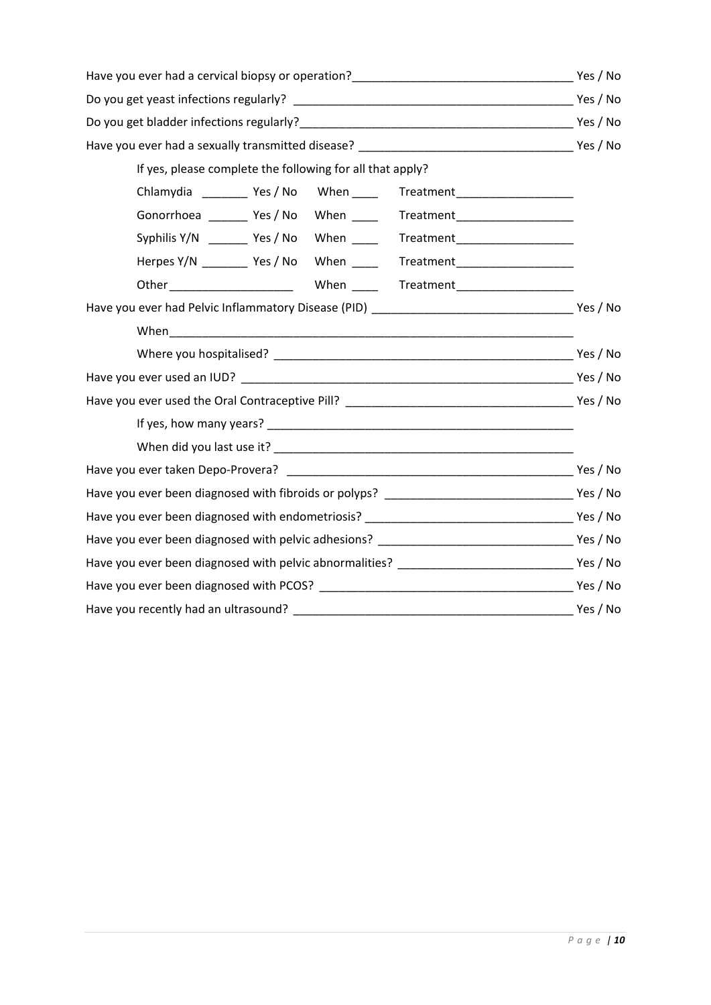| If yes, please complete the following for all that apply?                        |  |  |
|----------------------------------------------------------------------------------|--|--|
| Chlamydia __________ Yes / No When ______ Treatment ____________________________ |  |  |
| Gonorrhoea _________ Yes / No When ______ Treatment ____________________________ |  |  |
| Syphilis Y/N _________ Yes / No When ______ Treatment______________________      |  |  |
| Herpes Y/N __________ Yes / No When ______ Treatment ___________________________ |  |  |
|                                                                                  |  |  |
|                                                                                  |  |  |
|                                                                                  |  |  |
|                                                                                  |  |  |
|                                                                                  |  |  |
|                                                                                  |  |  |
|                                                                                  |  |  |
|                                                                                  |  |  |
|                                                                                  |  |  |
|                                                                                  |  |  |
|                                                                                  |  |  |
|                                                                                  |  |  |
|                                                                                  |  |  |
|                                                                                  |  |  |
|                                                                                  |  |  |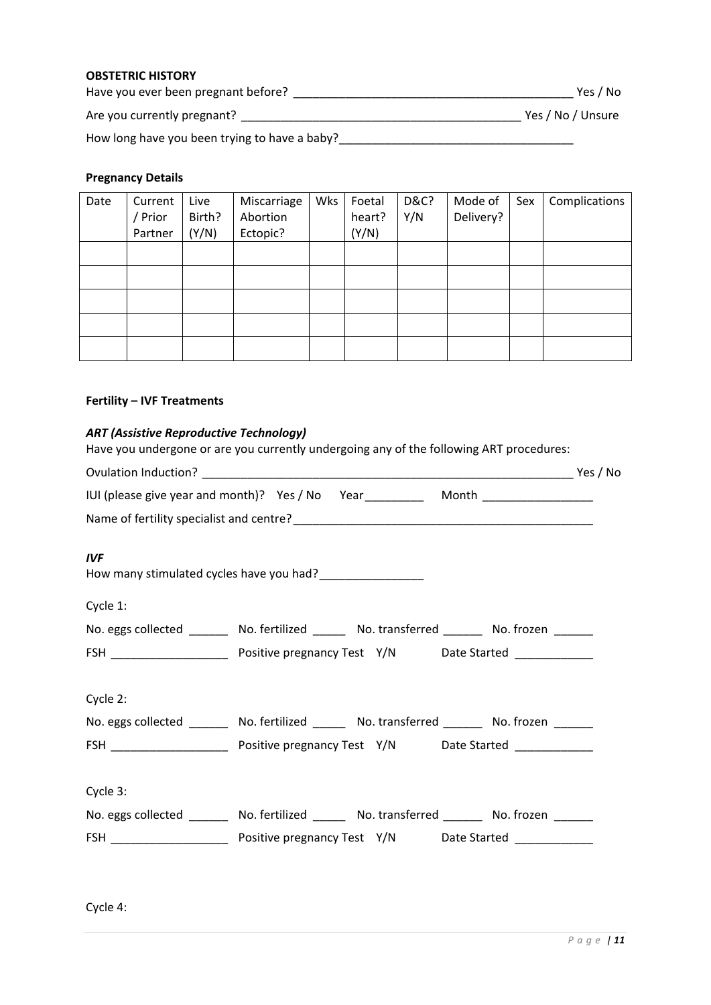## **OBSTETRIC HISTORY**

Have you ever been pregnant before? \_\_\_\_\_\_\_\_\_\_\_\_\_\_\_\_\_\_\_\_\_\_\_\_\_\_\_\_\_\_\_\_\_\_\_\_\_\_\_\_\_\_\_ Yes / No

Are you currently pregnant? \_\_\_\_\_\_\_\_\_\_\_\_\_\_\_\_\_\_\_\_\_\_\_\_\_\_\_\_\_\_\_\_\_\_\_\_\_\_\_\_\_\_\_ Yes / No / Unsure

How long have you been trying to have a baby?\_\_\_\_\_\_\_\_\_\_\_\_\_\_\_\_\_\_\_\_\_\_\_\_\_\_\_\_\_\_\_\_\_\_\_\_

#### **Pregnancy Details**

| Date | Current<br>/ Prior<br>Partner | Live<br>Birth?<br>(Y/N) | Miscarriage<br>Abortion<br>Ectopic? | Wks | Foetal<br>heart?<br>(Y/N) | <b>D&amp;C?</b><br>Y/N | Mode of<br>Delivery? | Sex | Complications |
|------|-------------------------------|-------------------------|-------------------------------------|-----|---------------------------|------------------------|----------------------|-----|---------------|
|      |                               |                         |                                     |     |                           |                        |                      |     |               |
|      |                               |                         |                                     |     |                           |                        |                      |     |               |
|      |                               |                         |                                     |     |                           |                        |                      |     |               |
|      |                               |                         |                                     |     |                           |                        |                      |     |               |
|      |                               |                         |                                     |     |                           |                        |                      |     |               |

# **Fertility – IVF Treatments**

## *ART (Assistive Reproductive Technology)*

Have you undergone or are you currently undergoing any of the following ART procedures:

|            | IUI (please give year and month)? Yes / No Year ____________ Month _____________           |  |
|------------|--------------------------------------------------------------------------------------------|--|
|            |                                                                                            |  |
| <b>IVF</b> | How many stimulated cycles have you had?____________________                               |  |
| Cycle 1:   |                                                                                            |  |
|            | No. eggs collected ________ No. fertilized ______ No. transferred ______ No. frozen ______ |  |
|            |                                                                                            |  |
| Cycle 2:   | No. eggs collected ________ No. fertilized ______ No. transferred ______ No. frozen ______ |  |
|            |                                                                                            |  |
|            |                                                                                            |  |
| Cycle 3:   |                                                                                            |  |
|            | No. eggs collected ________ No. fertilized ______ No. transferred ______ No. frozen ______ |  |
|            |                                                                                            |  |
|            |                                                                                            |  |

Cycle 4: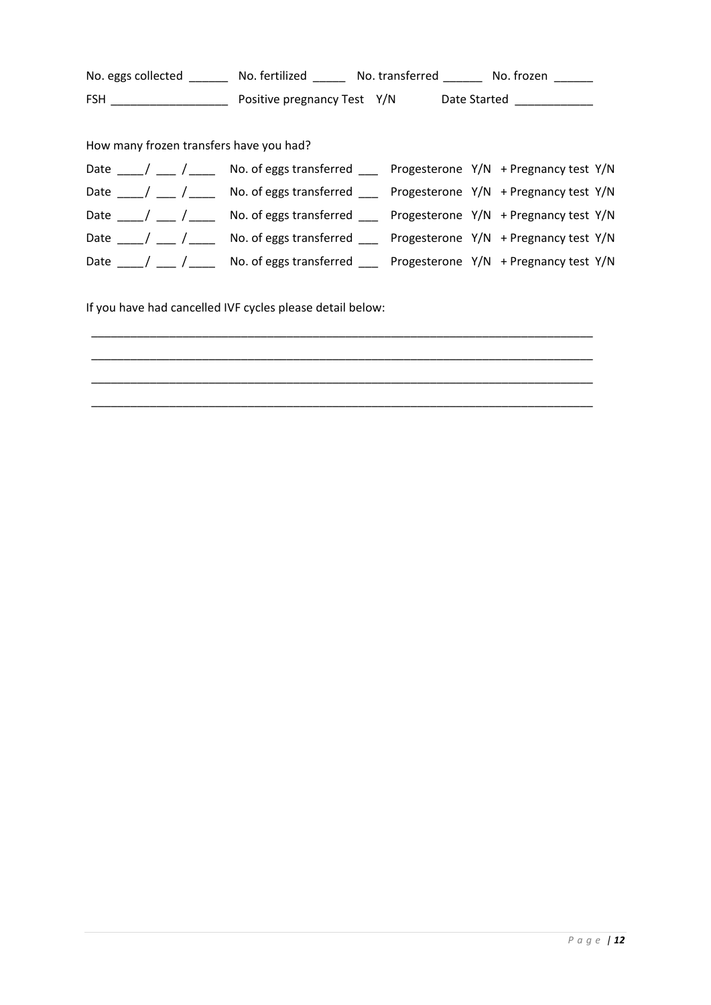No. eggs collected \_\_\_\_\_\_\_ No. fertilized \_\_\_\_\_\_ No. transferred \_\_\_\_\_\_ No. frozen FSH \_\_\_\_\_\_\_\_\_\_\_\_\_\_\_\_\_\_ Positive pregnancy Test Y/N Date Started \_\_\_\_\_\_\_\_\_\_\_\_ How many frozen transfers have you had? Date  $\frac{1}{\sqrt{N}}$  /  $\frac{1}{\sqrt{N}}$  No. of eggs transferred  $\frac{1}{\sqrt{N}}$  Progesterone Y/N + Pregnancy test Y/N Date \_\_\_\_/ \_\_\_ / \_\_\_\_ No. of eggs transferred \_\_\_ Progesterone Y/N + Pregnancy test Y/N Date \_\_\_\_ / \_\_\_ / \_\_\_\_ No. of eggs transferred \_\_\_ Progesterone Y/N + Pregnancy test Y/N Date \_\_\_\_/ \_\_\_ /\_\_\_\_ No. of eggs transferred \_\_\_ Progesterone Y/N + Pregnancy test Y/N Date \_\_\_\_/ \_\_\_ /\_\_\_\_ No. of eggs transferred \_\_\_ Progesterone Y/N + Pregnancy test Y/N If you have had cancelled IVF cycles please detail below: \_\_\_\_\_\_\_\_\_\_\_\_\_\_\_\_\_\_\_\_\_\_\_\_\_\_\_\_\_\_\_\_\_\_\_\_\_\_\_\_\_\_\_\_\_\_\_\_\_\_\_\_\_\_\_\_\_\_\_\_\_\_\_\_\_\_\_\_\_\_\_\_\_\_\_\_\_

\_\_\_\_\_\_\_\_\_\_\_\_\_\_\_\_\_\_\_\_\_\_\_\_\_\_\_\_\_\_\_\_\_\_\_\_\_\_\_\_\_\_\_\_\_\_\_\_\_\_\_\_\_\_\_\_\_\_\_\_\_\_\_\_\_\_\_\_\_\_\_\_\_\_\_\_\_ \_\_\_\_\_\_\_\_\_\_\_\_\_\_\_\_\_\_\_\_\_\_\_\_\_\_\_\_\_\_\_\_\_\_\_\_\_\_\_\_\_\_\_\_\_\_\_\_\_\_\_\_\_\_\_\_\_\_\_\_\_\_\_\_\_\_\_\_\_\_\_\_\_\_\_\_\_ \_\_\_\_\_\_\_\_\_\_\_\_\_\_\_\_\_\_\_\_\_\_\_\_\_\_\_\_\_\_\_\_\_\_\_\_\_\_\_\_\_\_\_\_\_\_\_\_\_\_\_\_\_\_\_\_\_\_\_\_\_\_\_\_\_\_\_\_\_\_\_\_\_\_\_\_\_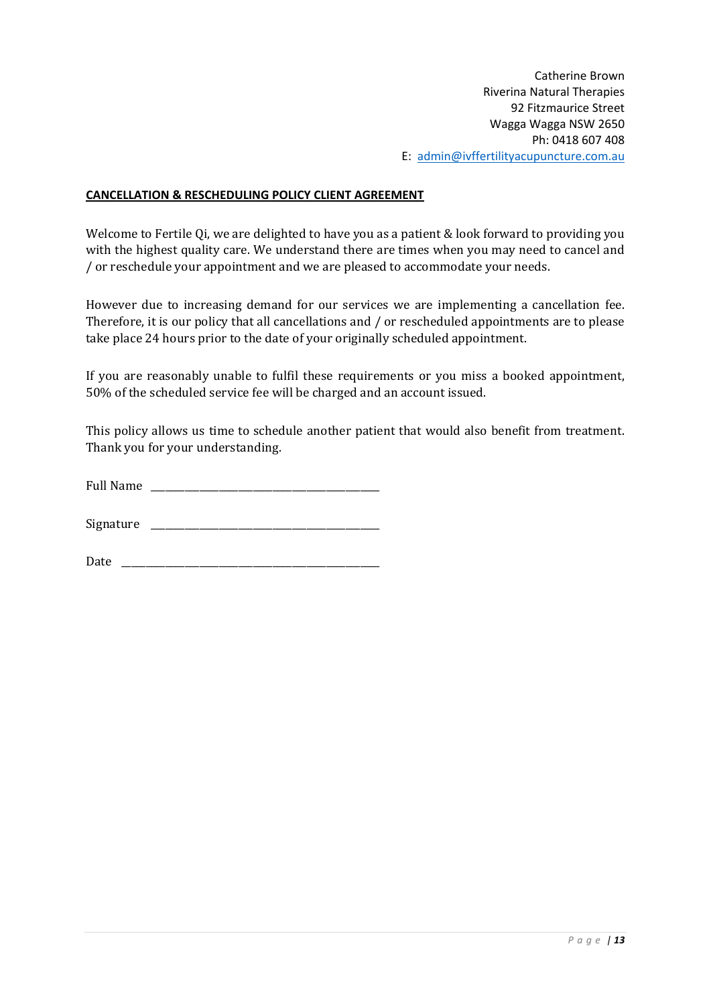# **CANCELLATION & RESCHEDULING POLICY CLIENT AGREEMENT**

Welcome to Fertile Qi, we are delighted to have you as a patient & look forward to providing you with the highest quality care. We understand there are times when you may need to cancel and / or reschedule your appointment and we are pleased to accommodate your needs.

However due to increasing demand for our services we are implementing a cancellation fee. Therefore, it is our policy that all cancellations and / or rescheduled appointments are to please take place 24 hours prior to the date of your originally scheduled appointment.

If you are reasonably unable to fulfil these requirements or you miss a booked appointment, 50% of the scheduled service fee will be charged and an account issued.

This policy allows us time to schedule another patient that would also benefit from treatment. Thank you for your understanding.

| <b>Full Name</b> |  |
|------------------|--|
|                  |  |

Signature \_\_\_\_\_\_\_\_\_\_\_\_\_\_\_\_\_\_\_\_\_\_\_\_\_\_\_\_\_\_\_\_\_\_\_\_\_\_\_\_\_\_\_\_\_\_\_

Date \_\_\_\_\_\_\_\_\_\_\_\_\_\_\_\_\_\_\_\_\_\_\_\_\_\_\_\_\_\_\_\_\_\_\_\_\_\_\_\_\_\_\_\_\_\_\_\_\_\_\_\_\_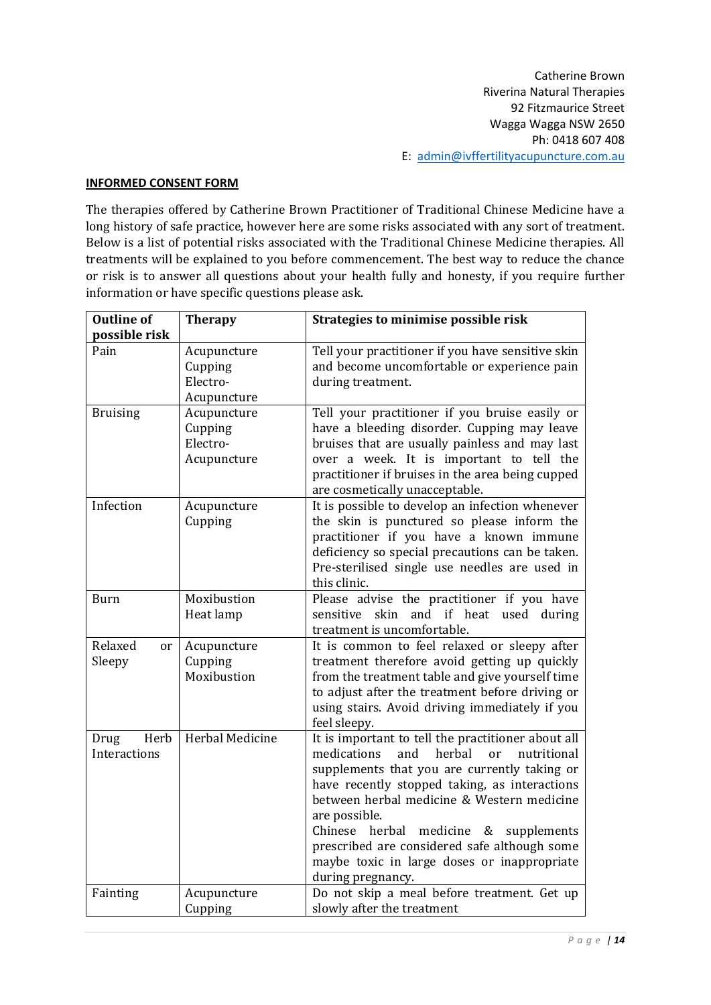## **INFORMED CONSENT FORM**

The therapies offered by Catherine Brown Practitioner of Traditional Chinese Medicine have a long history of safe practice, however here are some risks associated with any sort of treatment. Below is a list of potential risks associated with the Traditional Chinese Medicine therapies. All treatments will be explained to you before commencement. The best way to reduce the chance or risk is to answer all questions about your health fully and honesty, if you require further information or have specific questions please ask.

| <b>Outline of</b> | <b>Therapy</b>  | Strategies to minimise possible risk                                                       |
|-------------------|-----------------|--------------------------------------------------------------------------------------------|
| possible risk     |                 |                                                                                            |
| Pain              | Acupuncture     | Tell your practitioner if you have sensitive skin                                          |
|                   | Cupping         | and become uncomfortable or experience pain                                                |
|                   | Electro-        | during treatment.                                                                          |
|                   | Acupuncture     |                                                                                            |
| <b>Bruising</b>   | Acupuncture     | Tell your practitioner if you bruise easily or                                             |
|                   | Cupping         | have a bleeding disorder. Cupping may leave                                                |
|                   | Electro-        | bruises that are usually painless and may last                                             |
|                   | Acupuncture     | over a week. It is important to tell the                                                   |
|                   |                 | practitioner if bruises in the area being cupped                                           |
|                   |                 | are cosmetically unacceptable.                                                             |
| Infection         | Acupuncture     | It is possible to develop an infection whenever                                            |
|                   | Cupping         | the skin is punctured so please inform the                                                 |
|                   |                 | practitioner if you have a known immune<br>deficiency so special precautions can be taken. |
|                   |                 | Pre-sterilised single use needles are used in                                              |
|                   |                 | this clinic.                                                                               |
| <b>Burn</b>       | Moxibustion     | Please advise the practitioner if you have                                                 |
|                   | Heat lamp       | and if heat used during<br>sensitive<br>skin                                               |
|                   |                 | treatment is uncomfortable.                                                                |
| Relaxed<br>or     | Acupuncture     | It is common to feel relaxed or sleepy after                                               |
| Sleepy            | Cupping         | treatment therefore avoid getting up quickly                                               |
|                   | Moxibustion     | from the treatment table and give yourself time                                            |
|                   |                 | to adjust after the treatment before driving or                                            |
|                   |                 | using stairs. Avoid driving immediately if you                                             |
|                   |                 | feel sleepy.                                                                               |
| Herb<br>Drug      | Herbal Medicine | It is important to tell the practitioner about all                                         |
| Interactions      |                 | medications<br>and<br>herbal<br>nutritional<br><sub>or</sub>                               |
|                   |                 | supplements that you are currently taking or                                               |
|                   |                 | have recently stopped taking, as interactions                                              |
|                   |                 | between herbal medicine & Western medicine                                                 |
|                   |                 | are possible.                                                                              |
|                   |                 | Chinese<br>herbal<br>medicine<br>&<br>supplements                                          |
|                   |                 | prescribed are considered safe although some                                               |
|                   |                 | maybe toxic in large doses or inappropriate                                                |
|                   |                 | during pregnancy.                                                                          |
| Fainting          | Acupuncture     | Do not skip a meal before treatment. Get up                                                |
|                   | Cupping         | slowly after the treatment                                                                 |